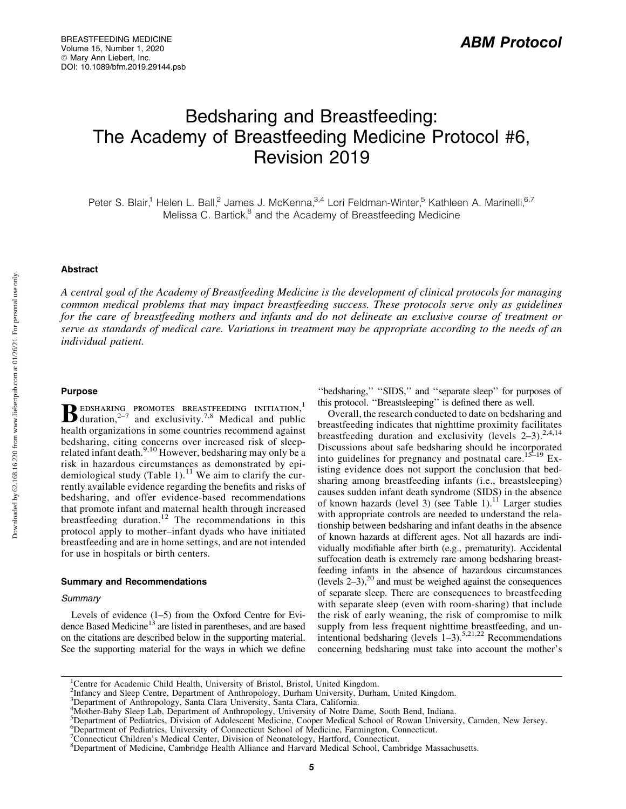# Bedsharing and Breastfeeding: The Academy of Breastfeeding Medicine Protocol #6, Revision 2019

Peter S. Blair,<sup>1</sup> Helen L. Ball,<sup>2</sup> James J. McKenna,<sup>3,4</sup> Lori Feldman-Winter,<sup>5</sup> Kathleen A. Marinelli,<sup>6,7</sup> Melissa C. Bartick,<sup>8</sup> and the Academy of Breastfeeding Medicine

# Abstract

*A central goal of the Academy of Breastfeeding Medicine is the development of clinical protocols for managing common medical problems that may impact breastfeeding success. These protocols serve only as guidelines for the care of breastfeeding mothers and infants and do not delineate an exclusive course of treatment or serve as standards of medical care. Variations in treatment may be appropriate according to the needs of an individual patient.*

# Purpose

**B** EDSHARING PROMOTES BREASTFEEDING INITIATION,<sup>1</sup><br>duration,<sup>2-7</sup> and exclusivity.<sup>7,8</sup> Medical and public duration,<sup>2–7</sup> and exclusivity.<sup>7,8</sup> Medical and public health organizations in some countries recommend against bedsharing, citing concerns over increased risk of sleeprelated infant death.<sup>9,10</sup> However, bedsharing may only be a risk in hazardous circumstances as demonstrated by epidemiological study (Table 1). $^{11}$  We aim to clarify the currently available evidence regarding the benefits and risks of bedsharing, and offer evidence-based recommendations that promote infant and maternal health through increased breastfeeding duration.<sup>12</sup> The recommendations in this protocol apply to mother–infant dyads who have initiated breastfeeding and are in home settings, and are not intended for use in hospitals or birth centers.

#### Summary and Recommendations

# **Summary**

Levels of evidence (1–5) from the Oxford Centre for Evidence Based Medicine<sup>13</sup> are listed in parentheses, and are based on the citations are described below in the supporting material. See the supporting material for the ways in which we define

''bedsharing,'' ''SIDS,'' and ''separate sleep'' for purposes of this protocol. ''Breastsleeping'' is defined there as well.

Overall, the research conducted to date on bedsharing and breastfeeding indicates that nighttime proximity facilitates breastfeeding duration and exclusivity (levels  $2-3$ ).<sup>2,4,14</sup> Discussions about safe bedsharing should be incorporated into guidelines for pregnancy and postnatal care.15–19 Existing evidence does not support the conclusion that bedsharing among breastfeeding infants (i.e., breastsleeping) causes sudden infant death syndrome (SIDS) in the absence of known hazards (level 3) (see Table 1).<sup>11</sup> Larger studies with appropriate controls are needed to understand the relationship between bedsharing and infant deaths in the absence of known hazards at different ages. Not all hazards are individually modifiable after birth (e.g., prematurity). Accidental suffocation death is extremely rare among bedsharing breastfeeding infants in the absence of hazardous circumstances  $(levels\ 2-3)$ ,<sup>20</sup> and must be weighed against the consequences of separate sleep. There are consequences to breastfeeding with separate sleep (even with room-sharing) that include the risk of early weaning, the risk of compromise to milk supply from less frequent nighttime breastfeeding, and unintentional bedsharing (levels  $1-3$ ).<sup>5,21,22</sup> Recommendations concerning bedsharing must take into account the mother's

<sup>&</sup>lt;sup>1</sup>Centre for Academic Child Health, University of Bristol, Bristol, United Kingdom.

<sup>2</sup> Infancy and Sleep Centre, Department of Anthropology, Durham University, Durham, United Kingdom.

<sup>3</sup> Department of Anthropology, Santa Clara University, Santa Clara, California.

<sup>4</sup> Mother-Baby Sleep Lab, Department of Anthropology, University of Notre Dame, South Bend, Indiana.

<sup>5</sup> Department of Pediatrics, Division of Adolescent Medicine, Cooper Medical School of Rowan University, Camden, New Jersey.

<sup>&</sup>lt;sup>6</sup>Department of Pediatrics, University of Connecticut School of Medicine, Farmington, Connecticut.

<sup>&</sup>lt;sup>7</sup> Connecticut Children's Medical Center, Division of Neonatology, Hartford, Connecticut.

<sup>8</sup> Department of Medicine, Cambridge Health Alliance and Harvard Medical School, Cambridge Massachusetts.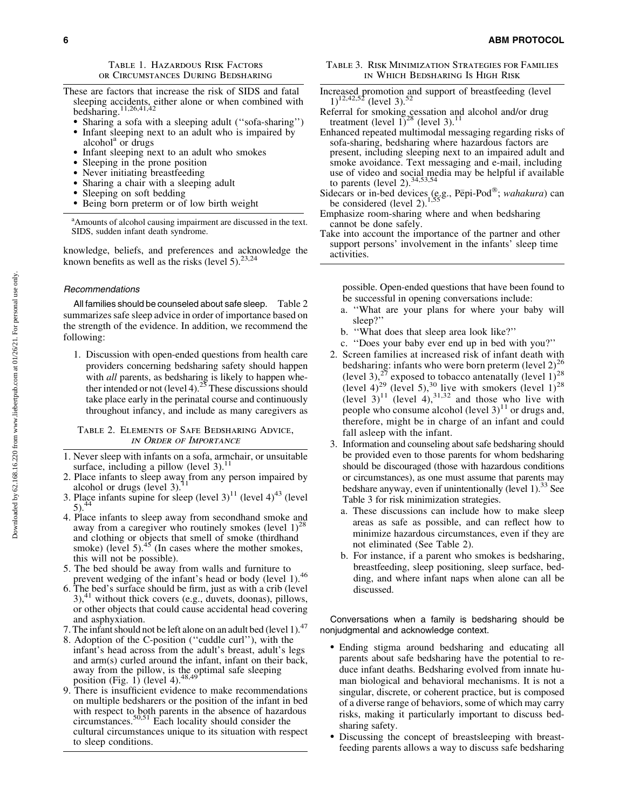#### Table 1. Hazardous Risk Factors or Circumstances During Bedsharing

- These are factors that increase the risk of SIDS and fatal sleeping accidents, either alone or when combined with bedsharing.<sup>11,26,41,42</sup>
	- Sharing a sofa with a sleeping adult (''sofa-sharing'')
	- $\bullet$  Infant sleeping next to an adult who is impaired by alcohol $^{\circ}$  or drugs
	- $\bullet$ Infant sleeping next to an adult who smokes
	- $\bullet$ Sleeping in the prone position
	- $\bullet$ Never initiating breastfeeding
	- $\bullet$ Sharing a chair with a sleeping adult
	- $\bullet$ Sleeping on soft bedding
	- Being born preterm or of low birth weight

<sup>a</sup> Amounts of alcohol causing impairment are discussed in the text. SIDS, sudden infant death syndrome.

knowledge, beliefs, and preferences and acknowledge the known benefits as well as the risks (level 5).  $23,24$ 

#### Recommendations

All families should be counseled about safe sleep. Table 2 summarizes safe sleep advice in order of importance based on the strength of the evidence. In addition, we recommend the following:

1. Discussion with open-ended questions from health care providers concerning bedsharing safety should happen with *all* parents, as bedsharing is likely to happen whether intended or not (level 4).<sup>25</sup> These discussions should take place early in the perinatal course and continuously throughout infancy, and include as many caregivers as

## Table 2. Elements of Safe Bedsharing Advice, in Order of Importance

- 1. Never sleep with infants on a sofa, armchair, or unsuitable surface, including a pillow (level  $3$ ).<sup>11</sup>
- 2. Place infants to sleep away from any person impaired by alcohol or drugs (level  $3$ ).
- 3. Place infants supine for sleep (level  $3$ )<sup>11</sup> (level  $4$ )<sup>43</sup> (level  $5)$ .<sup>4</sup>
- 4. Place infants to sleep away from secondhand smoke and away from a caregiver who routinely smokes (level  $1)^2$ and clothing or objects that smell of smoke (thirdhand smoke) (level 5).<sup>45</sup> (In cases where the mother smokes, this will not be possible).
- 5. The bed should be away from walls and furniture to prevent wedging of the infant's head or body (level 1).<sup>46</sup>
- 6. The bed's surface should be firm, just as with a crib (level  $3)$ ,<sup>41</sup> without thick covers (e.g., duvets, doonas), pillows, or other objects that could cause accidental head covering and asphyxiation.
- 7. The infant should not be left alone on an adult bed (level 1).<sup>47</sup>
- 8. Adoption of the C-position (''cuddle curl''), with the infant's head across from the adult's breast, adult's legs and arm(s) curled around the infant, infant on their back, away from the pillow, is the optimal safe sleeping position (Fig. 1) (level 4).<sup>48,49</sup>
- 9. There is insufficient evidence to make recommendations on multiple bedsharers or the position of the infant in bed with respect to both parents in the absence of hazardous circumstances.<sup>50,51</sup> Each locality should consider the cultural circumstances unique to its situation with respect to sleep conditions.
- Table 3. Risk Minimization Strategies for Families in Which Bedsharing Is High Risk
- Increased promotion and support of breastfeeding (level  $1)^{12,42,52}$  (level 3).<sup>52</sup>
- Referral for smoking cessation and alcohol and/or drug<br>treatment (level  $1$ )<sup>28</sup> (level 3).<sup>11</sup>
- Enhanced repeated multimodal messaging regarding risks of sofa-sharing, bedsharing where hazardous factors are present, including sleeping next to an impaired adult and smoke avoidance. Text messaging and e-mail, including use of video and social media may be helpful if available to parents (level  $2$ ).
- Sidecars or in-bed devices (e.g., Pēpi-Pod<sup>®</sup>; *wahakura*) can be considered (level 2).<sup>1,55</sup>
- Emphasize room-sharing where and when bedsharing cannot be done safely.
- Take into account the importance of the partner and other support persons' involvement in the infants' sleep time activities.

possible. Open-ended questions that have been found to be successful in opening conversations include:

- a. ''What are your plans for where your baby will sleep?''
- b. ''What does that sleep area look like?''
- c. ''Does your baby ever end up in bed with you?''
- 2. Screen families at increased risk of infant death with bedsharing: infants who were born preterm (level  $2)^{26}$ (level 3),<sup>27</sup> exposed to tobacco antenatally (level  $1)^{28}$ (level  $4)^{29}$  (level 5),<sup>30</sup> live with smokers (level 1)<sup>28</sup> (level  $3)^{11}$  (level 4),  $3^{1,32}$  and those who live with people who consume alcohol (level  $3)^{11}$  or drugs and, therefore, might be in charge of an infant and could fall asleep with the infant.
- 3. Information and counseling about safe bedsharing should be provided even to those parents for whom bedsharing should be discouraged (those with hazardous conditions or circumstances), as one must assume that parents may bedshare anyway, even if unintentionally (level  $1$ ).<sup>33</sup> See Table 3 for risk minimization strategies.
	- a. These discussions can include how to make sleep areas as safe as possible, and can reflect how to minimize hazardous circumstances, even if they are not eliminated (See Table 2).
	- b. For instance, if a parent who smokes is bedsharing, breastfeeding, sleep positioning, sleep surface, bedding, and where infant naps when alone can all be discussed.

Conversations when a family is bedsharing should be nonjudgmental and acknowledge context.

- Ending stigma around bedsharing and educating all parents about safe bedsharing have the potential to reduce infant deaths. Bedsharing evolved from innate human biological and behavioral mechanisms. It is not a singular, discrete, or coherent practice, but is composed of a diverse range of behaviors, some of which may carry risks, making it particularly important to discuss bedsharing safety.
- Discussing the concept of breastsleeping with breastfeeding parents allows a way to discuss safe bedsharing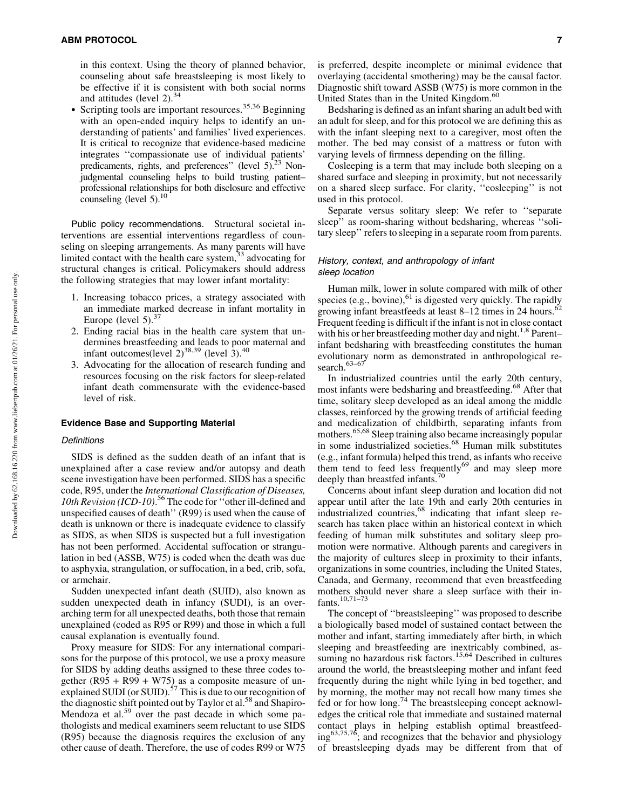in this context. Using the theory of planned behavior, counseling about safe breastsleeping is most likely to be effective if it is consistent with both social norms and attitudes (level  $2$ ).<sup>34</sup>

 $\bullet$ Scripting tools are important resources.<sup>35,36</sup> Beginning with an open-ended inquiry helps to identify an understanding of patients' and families' lived experiences. It is critical to recognize that evidence-based medicine integrates ''compassionate use of individual patients' predicaments, rights, and preferences" (level  $5$ ).<sup>23</sup> Nonjudgmental counseling helps to build trusting patient– professional relationships for both disclosure and effective counseling (level 5).<sup>10</sup>

Public policy recommendations. Structural societal interventions are essential interventions regardless of counseling on sleeping arrangements. As many parents will have limited contact with the health care system,<sup>33</sup> advocating for structural changes is critical. Policymakers should address the following strategies that may lower infant mortality:

- 1. Increasing tobacco prices, a strategy associated with an immediate marked decrease in infant mortality in Europe (level  $5$ ).<sup>37</sup>
- 2. Ending racial bias in the health care system that undermines breastfeeding and leads to poor maternal and infant outcomes(level  $2)^{38,39}$  (level 3).<sup>40</sup>
- 3. Advocating for the allocation of research funding and resources focusing on the risk factors for sleep-related infant death commensurate with the evidence-based level of risk.

# Evidence Base and Supporting Material

## **Definitions**

SIDS is defined as the sudden death of an infant that is unexplained after a case review and/or autopsy and death scene investigation have been performed. SIDS has a specific code, R95, under the *International Classification of Diseases, 10th Revision (ICD-10)*. <sup>56</sup> The code for ''other ill-defined and unspecified causes of death'' (R99) is used when the cause of death is unknown or there is inadequate evidence to classify as SIDS, as when SIDS is suspected but a full investigation has not been performed. Accidental suffocation or strangulation in bed (ASSB, W75) is coded when the death was due to asphyxia, strangulation, or suffocation, in a bed, crib, sofa, or armchair.

Sudden unexpected infant death (SUID), also known as sudden unexpected death in infancy (SUDI), is an overarching term for all unexpected deaths, both those that remain unexplained (coded as R95 or R99) and those in which a full causal explanation is eventually found.

Proxy measure for SIDS: For any international comparisons for the purpose of this protocol, we use a proxy measure for SIDS by adding deaths assigned to these three codes together  $(R95 + R99 + W75)$  as a composite measure of unexplained SUDI (or SUID). $57$  This is due to our recognition of the diagnostic shift pointed out by Taylor et al.<sup>58</sup> and Shapiro-Mendoza et al.<sup>59</sup> over the past decade in which some pathologists and medical examiners seem reluctant to use SIDS (R95) because the diagnosis requires the exclusion of any other cause of death. Therefore, the use of codes R99 or W75 is preferred, despite incomplete or minimal evidence that overlaying (accidental smothering) may be the causal factor. Diagnostic shift toward ASSB (W75) is more common in the United States than in the United Kingdom.<sup>60</sup>

Bedsharing is defined as an infant sharing an adult bed with an adult for sleep, and for this protocol we are defining this as with the infant sleeping next to a caregiver, most often the mother. The bed may consist of a mattress or futon with varying levels of firmness depending on the filling.

Cosleeping is a term that may include both sleeping on a shared surface and sleeping in proximity, but not necessarily on a shared sleep surface. For clarity, ''cosleeping'' is not used in this protocol.

Separate versus solitary sleep: We refer to ''separate sleep" as room-sharing without bedsharing, whereas "solitary sleep'' refers to sleeping in a separate room from parents.

## History, context, and anthropology of infant sleep location

Human milk, lower in solute compared with milk of other species (e.g., bovine), $61$  is digested very quickly. The rapidly growing infant breastfeeds at least  $8-12$  times in 24 hours.<sup>62</sup> Frequent feeding is difficult if the infant is not in close contact with his or her breastfeeding mother day and night.<sup>1,8</sup> Parent– infant bedsharing with breastfeeding constitutes the human evolutionary norm as demonstrated in anthropological research.<sup>63-67</sup>

In industrialized countries until the early 20th century, most infants were bedsharing and breastfeeding.<sup>68</sup> After that time, solitary sleep developed as an ideal among the middle classes, reinforced by the growing trends of artificial feeding and medicalization of childbirth, separating infants from mothers.65,68 Sleep training also became increasingly popular in some industrialized societies.<sup>68</sup> Human milk substitutes (e.g., infant formula) helped this trend, as infants who receive them tend to feed less frequently<sup>69</sup> and may sleep more deeply than breastfed infants.<sup>70</sup>

Concerns about infant sleep duration and location did not appear until after the late 19th and early 20th centuries in industrialized countries,<sup>68</sup> indicating that infant sleep research has taken place within an historical context in which feeding of human milk substitutes and solitary sleep promotion were normative. Although parents and caregivers in the majority of cultures sleep in proximity to their infants, organizations in some countries, including the United States, Canada, and Germany, recommend that even breastfeeding mothers should never share a sleep surface with their infants.10,71–73

The concept of ''breastsleeping'' was proposed to describe a biologically based model of sustained contact between the mother and infant, starting immediately after birth, in which sleeping and breastfeeding are inextricably combined, assupering and creastroiding are increasingly come mediately as around the world, the breastsleeping mother and infant feed frequently during the night while lying in bed together, and by morning, the mother may not recall how many times she fed or for how long.<sup>74</sup> The breastsleeping concept acknowledges the critical role that immediate and sustained maternal contact plays in helping establish optimal breastfeeding $63,75,76$ ; and recognizes that the behavior and physiology of breastsleeping dyads may be different from that of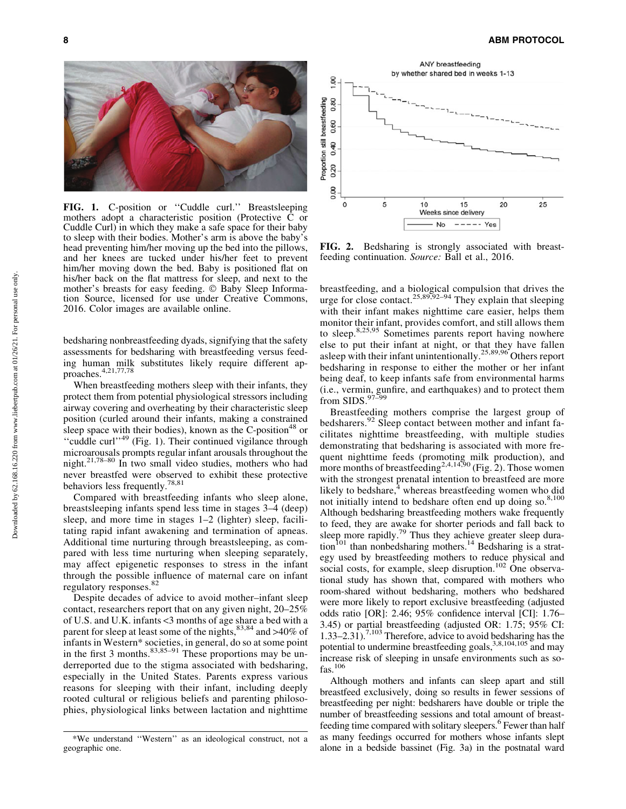

FIG. 1. C-position or ''Cuddle curl.'' Breastsleeping mothers adopt a characteristic position (Protective C or Cuddle Curl) in which they make a safe space for their baby to sleep with their bodies. Mother's arm is above the baby's head preventing him/her moving up the bed into the pillows, and her knees are tucked under his/her feet to prevent him/her moving down the bed. Baby is positioned flat on his/her back on the flat mattress for sleep, and next to the mother's breasts for easy feeding. © Baby Sleep Information Source, licensed for use under Creative Commons, 2016. Color images are available online.

bedsharing nonbreastfeeding dyads, signifying that the safety assessments for bedsharing with breastfeeding versus feeding human milk substitutes likely require different approaches.4,21,77,78

When breastfeeding mothers sleep with their infants, they protect them from potential physiological stressors including airway covering and overheating by their characteristic sleep position (curled around their infants, making a constrained sleep space with their bodies), known as the  $C$ -position<sup>48</sup> or "cuddle curl"<sup>49</sup> (Fig. 1). Their continued vigilance through microarousals prompts regular infant arousals throughout the night.21,78–80 In two small video studies, mothers who had never breastfed were observed to exhibit these protective behaviors less frequently.78,81

Compared with breastfeeding infants who sleep alone, breastsleeping infants spend less time in stages 3–4 (deep) sleep, and more time in stages 1–2 (lighter) sleep, facilitating rapid infant awakening and termination of apneas. Additional time nurturing through breastsleeping, as compared with less time nurturing when sleeping separately, may affect epigenetic responses to stress in the infant through the possible influence of maternal care on infant regulatory responses.<sup>82</sup>

Despite decades of advice to avoid mother–infant sleep contact, researchers report that on any given night, 20–25% of U.S. and U.K. infants <3 months of age share a bed with a parent for sleep at least some of the nights,  $83,84$  and  $>40\%$  of infants in Western\* societies, in general, do so at some point in the first 3 months.  $83,85-91$  These proportions may be underreported due to the stigma associated with bedsharing, especially in the United States. Parents express various reasons for sleeping with their infant, including deeply rooted cultural or religious beliefs and parenting philosophies, physiological links between lactation and nighttime



FIG. 2. Bedsharing is strongly associated with breastfeeding continuation. *Source:* Ball et al., 2016.

breastfeeding, and a biological compulsion that drives the urge for close contact.<sup>25,89,92–94</sup> They explain that sleeping with their infant makes nighttime care easier, helps them monitor their infant, provides comfort, and still allows them to sleep.<sup>8,25,95</sup> Sometimes parents report having nowhere else to put their infant at night, or that they have fallen asleep with their infant unintentionally.<sup>25,89,96</sup> Others report bedsharing in response to either the mother or her infant being deaf, to keep infants safe from environmental harms (i.e., vermin, gunfire, and earthquakes) and to protect them from SIDS. $97-99$ 

Breastfeeding mothers comprise the largest group of bedsharers.<sup>92</sup> Sleep contact between mother and infant facilitates nighttime breastfeeding, with multiple studies demonstrating that bedsharing is associated with more frequent nighttime feeds (promoting milk production), and more months of breastfeeding<sup>2,4,14,90</sup> (Fig. 2). Those women with the strongest prenatal intention to breastfeed are more likely to bedshare, $4\overline{ }$  whereas breastfeeding women who did not initially intend to bedshare often end up doing so. $8,100$ Although bedsharing breastfeeding mothers wake frequently to feed, they are awake for shorter periods and fall back to sleep more rapidly.<sup>79</sup> Thus they achieve greater sleep dura- $\frac{101}{101}$  than nonbedsharing mothers.<sup>14</sup> Bedsharing is a strategy used by breastfeeding mothers to reduce physical and social costs, for example, sleep disruption.<sup>102</sup> One observational study has shown that, compared with mothers who room-shared without bedsharing, mothers who bedshared were more likely to report exclusive breastfeeding (adjusted odds ratio [OR]: 2.46; 95% confidence interval [CI]: 1.76– 3.45) or partial breastfeeding (adjusted OR: 1.75; 95% CI:  $1.33-2.31$ .<sup>7,103</sup> Therefore, advice to avoid bedsharing has the potential to undermine breastfeeding goals,<sup>3,8,104,105</sup> and may increase risk of sleeping in unsafe environments such as sofas.106

Although mothers and infants can sleep apart and still breastfeed exclusively, doing so results in fewer sessions of breastfeeding per night: bedsharers have double or triple the number of breastfeeding sessions and total amount of breastfeeding time compared with solitary sleepers.<sup>6</sup> Fewer than half as many feedings occurred for mothers whose infants slept alone in a bedside bassinet (Fig. 3a) in the postnatal ward

<sup>\*</sup>We understand ''Western'' as an ideological construct, not a geographic one.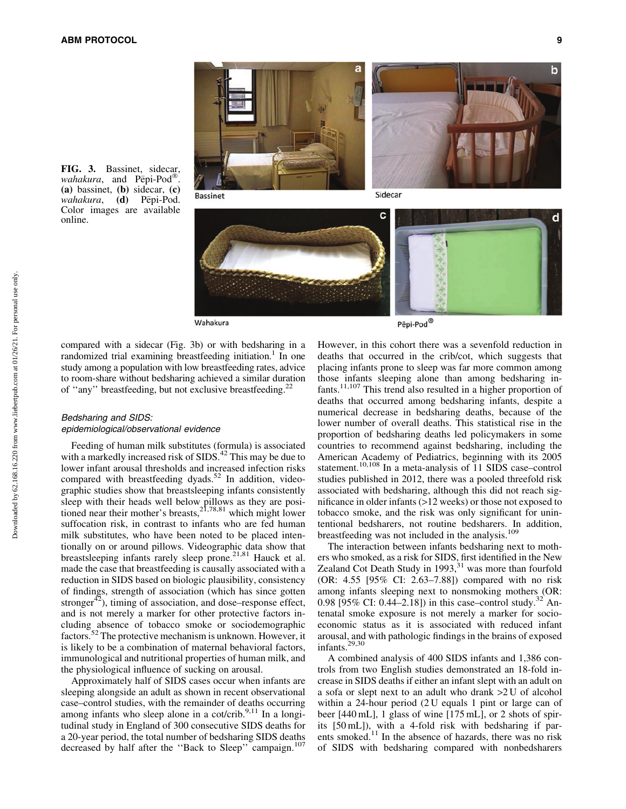

FIG. 3. Bassinet, sidecar, *wahakura*, and Pepi-Pod<sup>®</sup>. (a) bassinet, (b) sidecar, (c) *wahakura*, (**d**) Pēpi-Pod. Color images are available online.





Wahakura

Pēpi-Pod®

compared with a sidecar (Fig. 3b) or with bedsharing in a randomized trial examining breastfeeding initiation.<sup>1</sup> In one study among a population with low breastfeeding rates, advice to room-share without bedsharing achieved a similar duration of "any" breastfeeding, but not exclusive breastfeeding.<sup>22</sup>

# Bedsharing and SIDS: epidemiological/observational evidence

Feeding of human milk substitutes (formula) is associated with a markedly increased risk of SIDS.<sup>42</sup> This may be due to lower infant arousal thresholds and increased infection risks compared with breastfeeding dyads. $52$  In addition, videographic studies show that breastsleeping infants consistently sleep with their heads well below pillows as they are positioned near their mother's breasts,<sup>21,78,81</sup> which might lower suffocation risk, in contrast to infants who are fed human milk substitutes, who have been noted to be placed intentionally on or around pillows. Videographic data show that breastsleeping infants rarely sleep prone.<sup>21,81</sup> Hauck et al. made the case that breastfeeding is causally associated with a reduction in SIDS based on biologic plausibility, consistency of findings, strength of association (which has since gotten stronger $42$ ), timing of association, and dose–response effect, and is not merely a marker for other protective factors including absence of tobacco smoke or sociodemographic factors.<sup>52</sup> The protective mechanism is unknown. However, it is likely to be a combination of maternal behavioral factors, immunological and nutritional properties of human milk, and the physiological influence of sucking on arousal.

Approximately half of SIDS cases occur when infants are sleeping alongside an adult as shown in recent observational case–control studies, with the remainder of deaths occurring among infants who sleep alone in a cot/crib.<sup>9,11</sup> In a longitudinal study in England of 300 consecutive SIDS deaths for a 20-year period, the total number of bedsharing SIDS deaths decreased by half after the "Back to Sleep" campaign.<sup>107</sup>

However, in this cohort there was a sevenfold reduction in deaths that occurred in the crib/cot, which suggests that placing infants prone to sleep was far more common among those infants sleeping alone than among bedsharing in $fants.$ <sup>11,107</sup> This trend also resulted in a higher proportion of deaths that occurred among bedsharing infants, despite a numerical decrease in bedsharing deaths, because of the lower number of overall deaths. This statistical rise in the proportion of bedsharing deaths led policymakers in some countries to recommend against bedsharing, including the American Academy of Pediatrics, beginning with its 2005 statement.<sup>10,108</sup> In a meta-analysis of 11 SIDS case–control studies published in 2012, there was a pooled threefold risk associated with bedsharing, although this did not reach significance in older infants (>12 weeks) or those not exposed to tobacco smoke, and the risk was only significant for unintentional bedsharers, not routine bedsharers. In addition, breastfeeding was not included in the analysis.<sup>109</sup>

The interaction between infants bedsharing next to mothers who smoked, as a risk for SIDS, first identified in the New Zealand Cot Death Study in  $1993$ ,  $31$  was more than fourfold (OR: 4.55 [95% CI: 2.63–7.88]) compared with no risk among infants sleeping next to nonsmoking mothers (OR: 0.98 [95% CI: 0.44–2.18]) in this case–control study.<sup>32</sup> Antenatal smoke exposure is not merely a marker for socioeconomic status as it is associated with reduced infant arousal, and with pathologic findings in the brains of exposed infants. $^{29,30}$ 

A combined analysis of 400 SIDS infants and 1,386 controls from two English studies demonstrated an 18-fold increase in SIDS deaths if either an infant slept with an adult on a sofa or slept next to an adult who drank >2 U of alcohol within a 24-hour period (2 U equals 1 pint or large can of beer [440 mL], 1 glass of wine [175 mL], or 2 shots of spirits [50 mL]), with a 4-fold risk with bedsharing if parents smoked.<sup>11</sup> In the absence of hazards, there was no risk of SIDS with bedsharing compared with nonbedsharers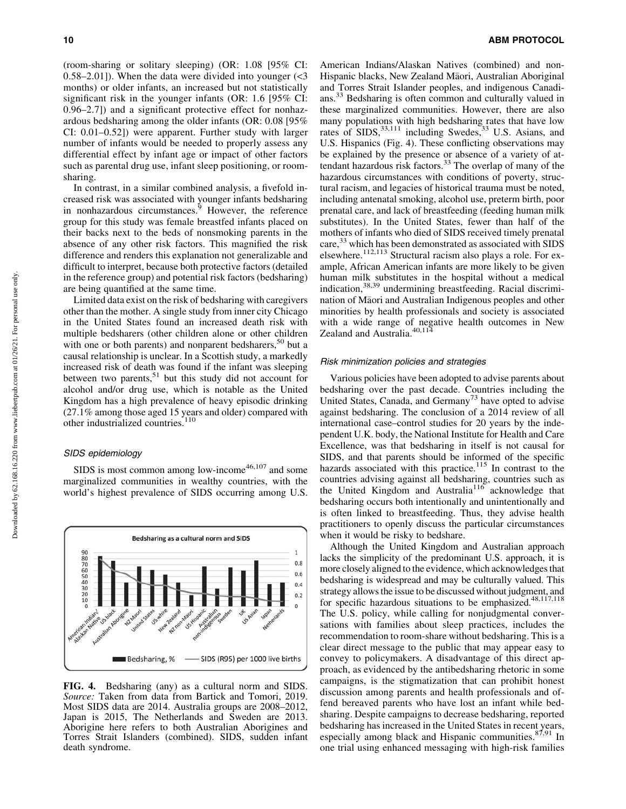(room-sharing or solitary sleeping) (OR: 1.08 [95% CI: 0.58–2.01]). When the data were divided into younger  $\langle$  <3 months) or older infants, an increased but not statistically significant risk in the younger infants (OR: 1.6 [95% CI: 0.96–2.7]) and a significant protective effect for nonhazardous bedsharing among the older infants (OR: 0.08 [95% CI: 0.01–0.52]) were apparent. Further study with larger number of infants would be needed to properly assess any differential effect by infant age or impact of other factors such as parental drug use, infant sleep positioning, or roomsharing.

In contrast, in a similar combined analysis, a fivefold increased risk was associated with younger infants bedsharing in nonhazardous circumstances. $\frac{5}{9}$  However, the reference group for this study was female breastfed infants placed on their backs next to the beds of nonsmoking parents in the absence of any other risk factors. This magnified the risk difference and renders this explanation not generalizable and difficult to interpret, because both protective factors (detailed in the reference group) and potential risk factors (bedsharing) are being quantified at the same time.

Limited data exist on the risk of bedsharing with caregivers other than the mother. A single study from inner city Chicago in the United States found an increased death risk with multiple bedsharers (other children alone or other children with one or both parents) and nonparent bedsharers,<sup>50</sup> but a causal relationship is unclear. In a Scottish study, a markedly increased risk of death was found if the infant was sleeping between two parents,<sup>51</sup> but this study did not account for alcohol and/or drug use, which is notable as the United Kingdom has a high prevalence of heavy episodic drinking (27.1% among those aged 15 years and older) compared with other industrialized countries.<sup>110</sup>

# SIDS epidemiology

SIDS is most common among low-income<sup>46,107</sup> and some marginalized communities in wealthy countries, with the world's highest prevalence of SIDS occurring among U.S.



FIG. 4. Bedsharing (any) as a cultural norm and SIDS. *Source:* Taken from data from Bartick and Tomori, 2019. Most SIDS data are 2014. Australia groups are 2008–2012, Japan is 2015, The Netherlands and Sweden are 2013. Aborigine here refers to both Australian Aborigines and Torres Strait Islanders (combined). SIDS, sudden infant death syndrome.

American Indians/Alaskan Natives (combined) and non-Hispanic blacks, New Zealand Māori, Australian Aboriginal and Torres Strait Islander peoples, and indigenous Canadians.<sup>33</sup> Bedsharing is often common and culturally valued in these marginalized communities. However, there are also many populations with high bedsharing rates that have low rates of  $\text{SIDS}$ ,<sup>33,111</sup> including Swedes,<sup>33</sup> U.S. Asians, and U.S. Hispanics (Fig. 4). These conflicting observations may be explained by the presence or absence of a variety of attendant hazardous risk factors.<sup>33</sup> The overlap of many of the hazardous circumstances with conditions of poverty, structural racism, and legacies of historical trauma must be noted, including antenatal smoking, alcohol use, preterm birth, poor prenatal care, and lack of breastfeeding (feeding human milk substitutes). In the United States, fewer than half of the mothers of infants who died of SIDS received timely prenatal care, $33$  which has been demonstrated as associated with SIDS elsewhere.<sup>112,113</sup> Structural racism also plays a role. For example, African American infants are more likely to be given human milk substitutes in the hospital without a medical indication,<sup>38,39</sup> undermining breastfeeding. Racial discrimination of Maori and Australian Indigenous peoples and other minorities by health professionals and society is associated with a wide range of negative health outcomes in New Zealand and Australia.<sup>40,114</sup>

## Risk minimization policies and strategies

Various policies have been adopted to advise parents about bedsharing over the past decade. Countries including the United States, Canada, and Germany<sup>73</sup> have opted to advise against bedsharing. The conclusion of a 2014 review of all international case–control studies for 20 years by the independent U.K. body, the National Institute for Health and Care Excellence, was that bedsharing in itself is not causal for SIDS, and that parents should be informed of the specific hazards associated with this practice.<sup>115</sup> In contrast to the countries advising against all bedsharing, countries such as the United Kingdom and Australia<sup>116</sup> acknowledge that bedsharing occurs both intentionally and unintentionally and is often linked to breastfeeding. Thus, they advise health practitioners to openly discuss the particular circumstances when it would be risky to bedshare.

Although the United Kingdom and Australian approach lacks the simplicity of the predominant U.S. approach, it is more closely aligned to the evidence, which acknowledges that bedsharing is widespread and may be culturally valued. This strategy allows the issue to be discussed without judgment, and for specific hazardous situations to be emphasized. $48,117,118$ The U.S. policy, while calling for nonjudgmental conversations with families about sleep practices, includes the recommendation to room-share without bedsharing. This is a clear direct message to the public that may appear easy to convey to policymakers. A disadvantage of this direct approach, as evidenced by the antibedsharing rhetoric in some campaigns, is the stigmatization that can prohibit honest discussion among parents and health professionals and offend bereaved parents who have lost an infant while bedsharing. Despite campaigns to decrease bedsharing, reported bedsharing has increased in the United States in recent years, especially among black and Hispanic communities.<sup>87,91</sup> In one trial using enhanced messaging with high-risk families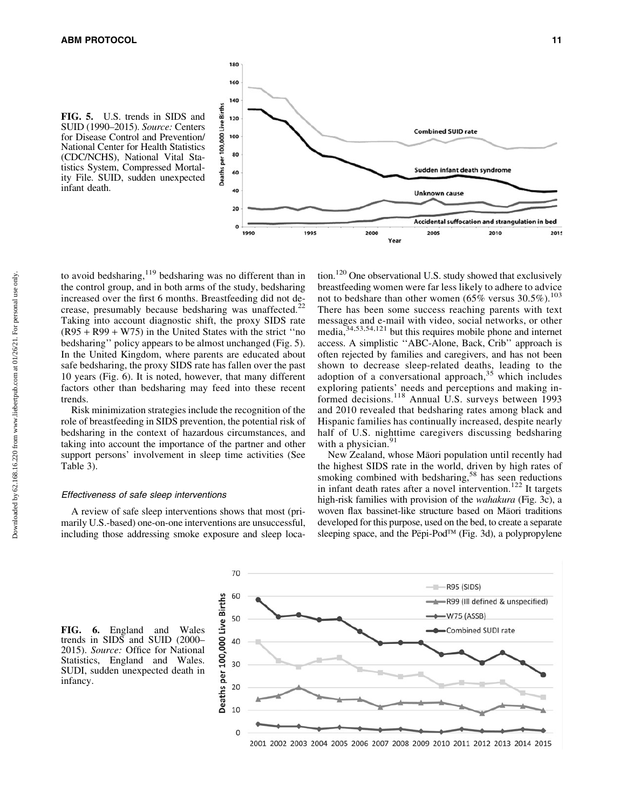



to avoid bedsharing,<sup>119</sup> bedsharing was no different than in the control group, and in both arms of the study, bedsharing increased over the first 6 months. Breastfeeding did not decrease, presumably because bedsharing was unaffected. $^{22}$ Taking into account diagnostic shift, the proxy SIDS rate  $(R95 + R99 + W75)$  in the United States with the strict "no bedsharing'' policy appears to be almost unchanged (Fig. 5). In the United Kingdom, where parents are educated about safe bedsharing, the proxy SIDS rate has fallen over the past 10 years (Fig. 6). It is noted, however, that many different factors other than bedsharing may feed into these recent trends.

Risk minimization strategies include the recognition of the role of breastfeeding in SIDS prevention, the potential risk of bedsharing in the context of hazardous circumstances, and taking into account the importance of the partner and other support persons' involvement in sleep time activities (See Table 3).

#### Effectiveness of safe sleep interventions

A review of safe sleep interventions shows that most (primarily U.S.-based) one-on-one interventions are unsuccessful, including those addressing smoke exposure and sleep location.<sup>120</sup> One observational U.S. study showed that exclusively breastfeeding women were far less likely to adhere to advice not to bedshare than other women  $(65\%$  versus  $30.5\%)$ .<sup>103</sup> There has been some success reaching parents with text messages and e-mail with video, social networks, or other media,34,53,54,121 but this requires mobile phone and internet access. A simplistic ''ABC-Alone, Back, Crib'' approach is often rejected by families and caregivers, and has not been shown to decrease sleep-related deaths, leading to the adoption of a conversational approach, $35$  which includes exploring patients' needs and perceptions and making informed decisions.<sup>118</sup> Annual U.S. surveys between 1993 and 2010 revealed that bedsharing rates among black and Hispanic families has continually increased, despite nearly half of U.S. nighttime caregivers discussing bedsharing with a physician. $91$ 

New Zealand, whose Māori population until recently had the highest SIDS rate in the world, driven by high rates of smoking combined with bedsharing,<sup>58</sup> has seen reductions in infant death rates after a novel intervention.<sup>122</sup> It targets high-risk families with provision of the *wahakura* (Fig. 3c), a woven flax bassinet-like structure based on Māori traditions developed for this purpose, used on the bed, to create a separate sleeping space, and the Pēpi-Pod<sup>TM</sup> (Fig. 3d), a polypropylene

FIG. 6. England and Wales trends in SIDS and SUID (2000– 2015). *Source:* Office for National Statistics, England and Wales. SUDI, sudden unexpected death in infancy.

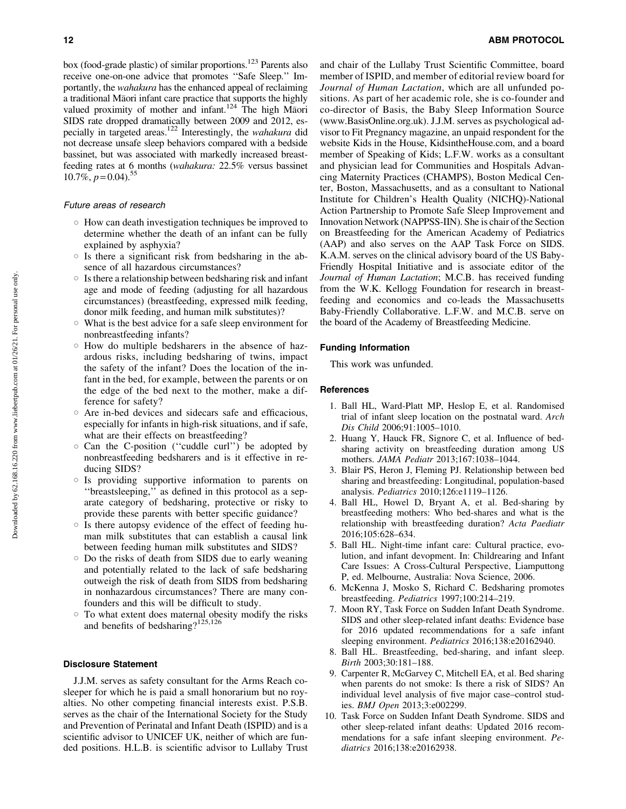box (food-grade plastic) of similar proportions.<sup>123</sup> Parents also receive one-on-one advice that promotes ''Safe Sleep.'' Importantly, the *wahakura* has the enhanced appeal of reclaiming a traditional Māori infant care practice that supports the highly valued proximity of mother and infant.<sup>124</sup> The high Maori SIDS rate dropped dramatically between 2009 and 2012, especially in targeted areas.122 Interestingly, the *wahakura* did not decrease unsafe sleep behaviors compared with a bedside bassinet, but was associated with markedly increased breastfeeding rates at 6 months (*wahakura:* 22.5% versus bassinet  $10.7\%$ ,  $p = 0.04$ ).<sup>55</sup>

#### Future areas of research

- $\circ$  How can death investigation techniques be improved to determine whether the death of an infant can be fully explained by asphyxia?
- $\circ$  Is there a significant risk from bedsharing in the absence of all hazardous circumstances?
- $\circ$  Is there a relationship between bedsharing risk and infant age and mode of feeding (adjusting for all hazardous circumstances) (breastfeeding, expressed milk feeding, donor milk feeding, and human milk substitutes)?
- $\circ$  What is the best advice for a safe sleep environment for nonbreastfeeding infants?
- $\circ$  How do multiple bedsharers in the absence of hazardous risks, including bedsharing of twins, impact the safety of the infant? Does the location of the infant in the bed, for example, between the parents or on the edge of the bed next to the mother, make a difference for safety?
- $\circ$  Are in-bed devices and sidecars safe and efficacious, especially for infants in high-risk situations, and if safe, what are their effects on breastfeeding?
- $\circ$  Can the C-position ("cuddle curl") be adopted by nonbreastfeeding bedsharers and is it effective in reducing SIDS?
- $\circ$  Is providing supportive information to parents on ''breastsleeping,'' as defined in this protocol as a separate category of bedsharing, protective or risky to provide these parents with better specific guidance?
- $\circ$  Is there autopsy evidence of the effect of feeding human milk substitutes that can establish a causal link between feeding human milk substitutes and SIDS?
- $\circ$  Do the risks of death from SIDS due to early weaning and potentially related to the lack of safe bedsharing outweigh the risk of death from SIDS from bedsharing in nonhazardous circumstances? There are many confounders and this will be difficult to study.
- $\circ$  To what extent does maternal obesity modify the risks and benefits of bedsharing? $125,126$

# Disclosure Statement

J.J.M. serves as safety consultant for the Arms Reach cosleeper for which he is paid a small honorarium but no royalties. No other competing financial interests exist. P.S.B. serves as the chair of the International Society for the Study and Prevention of Perinatal and Infant Death (ISPID) and is a scientific advisor to UNICEF UK, neither of which are funded positions. H.L.B. is scientific advisor to Lullaby Trust and chair of the Lullaby Trust Scientific Committee, board member of ISPID, and member of editorial review board for *Journal of Human Lactation*, which are all unfunded positions. As part of her academic role, she is co-founder and co-director of Basis, the Baby Sleep Information Source (www.BasisOnline.org.uk). J.J.M. serves as psychological advisor to Fit Pregnancy magazine, an unpaid respondent for the website Kids in the House, KidsintheHouse.com, and a board member of Speaking of Kids; L.F.W. works as a consultant and physician lead for Communities and Hospitals Advancing Maternity Practices (CHAMPS), Boston Medical Center, Boston, Massachusetts, and as a consultant to National Institute for Children's Health Quality (NICHQ)-National Action Partnership to Promote Safe Sleep Improvement and Innovation Network (NAPPSS-IIN). She is chair of the Section on Breastfeeding for the American Academy of Pediatrics (AAP) and also serves on the AAP Task Force on SIDS. K.A.M. serves on the clinical advisory board of the US Baby-Friendly Hospital Initiative and is associate editor of the *Journal of Human Lactation*; M.C.B. has received funding from the W.K. Kellogg Foundation for research in breastfeeding and economics and co-leads the Massachusetts Baby-Friendly Collaborative. L.F.W. and M.C.B. serve on the board of the Academy of Breastfeeding Medicine.

## Funding Information

This work was unfunded.

#### References

- 1. Ball HL, Ward-Platt MP, Heslop E, et al. Randomised trial of infant sleep location on the postnatal ward. *Arch Dis Child* 2006;91:1005–1010.
- 2. Huang Y, Hauck FR, Signore C, et al. Influence of bedsharing activity on breastfeeding duration among US mothers. *JAMA Pediatr* 2013;167:1038–1044.
- 3. Blair PS, Heron J, Fleming PJ. Relationship between bed sharing and breastfeeding: Longitudinal, population-based analysis. *Pediatrics* 2010;126:e1119–1126.
- 4. Ball HL, Howel D, Bryant A, et al. Bed-sharing by breastfeeding mothers: Who bed-shares and what is the relationship with breastfeeding duration? *Acta Paediatr* 2016;105:628–634.
- 5. Ball HL. Night-time infant care: Cultural practice, evolution, and infant devopment. In: Childrearing and Infant Care Issues: A Cross-Cultural Perspective, Liamputtong P, ed. Melbourne, Australia: Nova Science, 2006.
- 6. McKenna J, Mosko S, Richard C. Bedsharing promotes breastfeeding. *Pediatrics* 1997;100:214–219.
- 7. Moon RY, Task Force on Sudden Infant Death Syndrome. SIDS and other sleep-related infant deaths: Evidence base for 2016 updated recommendations for a safe infant sleeping environment. *Pediatrics* 2016;138:e20162940.
- 8. Ball HL. Breastfeeding, bed-sharing, and infant sleep. *Birth* 2003;30:181–188.
- 9. Carpenter R, McGarvey C, Mitchell EA, et al. Bed sharing when parents do not smoke: Is there a risk of SIDS? An individual level analysis of five major case–control studies. *BMJ Open* 2013;3:e002299.
- 10. Task Force on Sudden Infant Death Syndrome. SIDS and other sleep-related infant deaths: Updated 2016 recommendations for a safe infant sleeping environment. *Pediatrics* 2016;138:e20162938.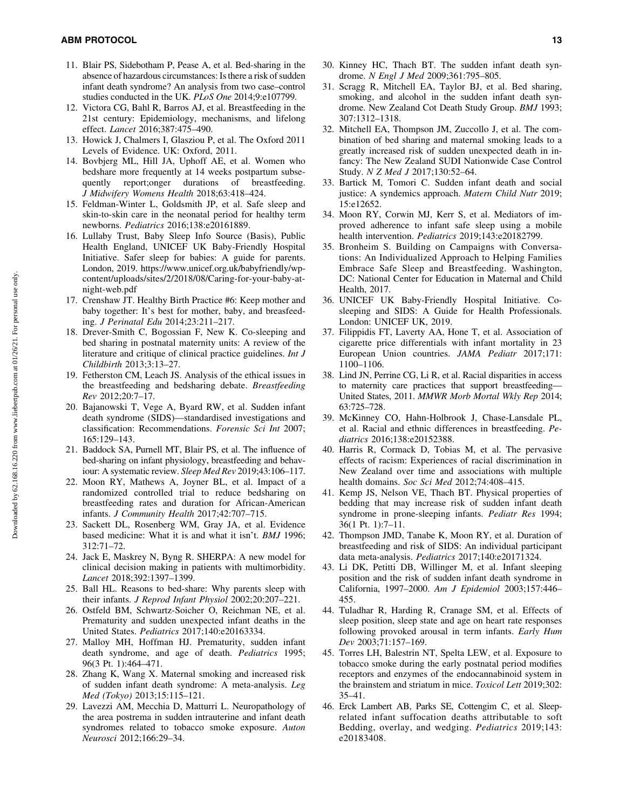- 11. Blair PS, Sidebotham P, Pease A, et al. Bed-sharing in the absence of hazardous circumstances: Is there a risk of sudden infant death syndrome? An analysis from two case–control studies conducted in the UK. *PLoS One* 2014;9:e107799.
- 12. Victora CG, Bahl R, Barros AJ, et al. Breastfeeding in the 21st century: Epidemiology, mechanisms, and lifelong effect. *Lancet* 2016;387:475–490.
- 13. Howick J, Chalmers I, Glasziou P, et al. The Oxford 2011 Levels of Evidence. UK: Oxford, 2011.
- 14. Bovbjerg ML, Hill JA, Uphoff AE, et al. Women who bedshare more frequently at 14 weeks postpartum subsequently report;onger durations of breastfeeding. *J Midwifery Womens Health* 2018;63:418–424.
- 15. Feldman-Winter L, Goldsmith JP, et al. Safe sleep and skin-to-skin care in the neonatal period for healthy term newborns. *Pediatrics* 2016;138:e20161889.
- 16. Lullaby Trust, Baby Sleep Info Source (Basis), Public Health England, UNICEF UK Baby-Friendly Hospital Initiative. Safer sleep for babies: A guide for parents. London, 2019. [https://www.unicef.org.uk/babyfriendly/wp](https://www.unicef.org.uk/babyfriendly/wp-content/uploads/sites/2/2018/08/Caring-for-your-baby-at-night-web.pdf)[content/uploads/sites/2/2018/08/Caring-for-your-baby-at](https://www.unicef.org.uk/babyfriendly/wp-content/uploads/sites/2/2018/08/Caring-for-your-baby-at-night-web.pdf)[night-web.pdf](https://www.unicef.org.uk/babyfriendly/wp-content/uploads/sites/2/2018/08/Caring-for-your-baby-at-night-web.pdf)
- 17. Crenshaw JT. Healthy Birth Practice #6: Keep mother and baby together: It's best for mother, baby, and breasfeeding. *J Perinatal Edu* 2014;23:211–217.
- 18. Drever-Smith C, Bogossian F, New K. Co-sleeping and bed sharing in postnatal maternity units: A review of the literature and critique of clinical practice guidelines. *Int J Childbirth* 2013;3:13–27.
- 19. Fetherston CM, Leach JS. Analysis of the ethical issues in the breastfeeding and bedsharing debate. *Breastfeeding Rev* 2012;20:7–17.
- 20. Bajanowski T, Vege A, Byard RW, et al. Sudden infant death syndrome (SIDS)—standardised investigations and classification: Recommendations. *Forensic Sci Int* 2007; 165:129–143.
- 21. Baddock SA, Purnell MT, Blair PS, et al. The influence of bed-sharing on infant physiology, breastfeeding and behaviour: A systematic review. *Sleep Med Rev* 2019;43:106–117.
- 22. Moon RY, Mathews A, Joyner BL, et al. Impact of a randomized controlled trial to reduce bedsharing on breastfeeding rates and duration for African-American infants. *J Community Health* 2017;42:707–715.
- 23. Sackett DL, Rosenberg WM, Gray JA, et al. Evidence based medicine: What it is and what it isn't. *BMJ* 1996; 312:71–72.
- 24. Jack E, Maskrey N, Byng R. SHERPA: A new model for clinical decision making in patients with multimorbidity. *Lancet* 2018;392:1397–1399.
- 25. Ball HL. Reasons to bed-share: Why parents sleep with their infants. *J Reprod Infant Physiol* 2002;20:207–221.
- 26. Ostfeld BM, Schwartz-Soicher O, Reichman NE, et al. Prematurity and sudden unexpected infant deaths in the United States. *Pediatrics* 2017;140:e20163334.
- 27. Malloy MH, Hoffman HJ. Prematurity, sudden infant death syndrome, and age of death. *Pediatrics* 1995; 96(3 Pt. 1):464–471.
- 28. Zhang K, Wang X. Maternal smoking and increased risk of sudden infant death syndrome: A meta-analysis. *Leg Med (Tokyo)* 2013;15:115–121.
- 29. Lavezzi AM, Mecchia D, Matturri L. Neuropathology of the area postrema in sudden intrauterine and infant death syndromes related to tobacco smoke exposure. *Auton Neurosci* 2012;166:29–34.
- 30. Kinney HC, Thach BT. The sudden infant death syndrome. *N Engl J Med* 2009;361:795–805.
- 31. Scragg R, Mitchell EA, Taylor BJ, et al. Bed sharing, smoking, and alcohol in the sudden infant death syndrome. New Zealand Cot Death Study Group. *BMJ* 1993; 307:1312–1318.
- 32. Mitchell EA, Thompson JM, Zuccollo J, et al. The combination of bed sharing and maternal smoking leads to a greatly increased risk of sudden unexpected death in infancy: The New Zealand SUDI Nationwide Case Control Study. *N Z Med J* 2017;130:52–64.
- 33. Bartick M, Tomori C. Sudden infant death and social justice: A syndemics approach. *Matern Child Nutr* 2019; 15:e12652.
- 34. Moon RY, Corwin MJ, Kerr S, et al. Mediators of improved adherence to infant safe sleep using a mobile health intervention. *Pediatrics* 2019;143:e20182799.
- 35. Bronheim S. Building on Campaigns with Conversations: An Individualized Approach to Helping Families Embrace Safe Sleep and Breastfeeding. Washington, DC: National Center for Education in Maternal and Child Health, 2017.
- 36. UNICEF UK Baby-Friendly Hospital Initiative. Cosleeping and SIDS: A Guide for Health Professionals. London: UNICEF UK, 2019.
- 37. Filippidis FT, Laverty AA, Hone T, et al. Association of cigarette price differentials with infant mortality in 23 European Union countries. *JAMA Pediatr* 2017;171: 1100–1106.
- 38. Lind JN, Perrine CG, Li R, et al. Racial disparities in access to maternity care practices that support breastfeeding— United States, 2011. *MMWR Morb Mortal Wkly Rep* 2014; 63:725–728.
- 39. McKinney CO, Hahn-Holbrook J, Chase-Lansdale PL, et al. Racial and ethnic differences in breastfeeding. *Pediatrics* 2016;138:e20152388.
- 40. Harris R, Cormack D, Tobias M, et al. The pervasive effects of racism: Experiences of racial discrimination in New Zealand over time and associations with multiple health domains. *Soc Sci Med* 2012;74:408–415.
- 41. Kemp JS, Nelson VE, Thach BT. Physical properties of bedding that may increase risk of sudden infant death syndrome in prone-sleeping infants. *Pediatr Res* 1994; 36(1 Pt. 1):7–11.
- 42. Thompson JMD, Tanabe K, Moon RY, et al. Duration of breastfeeding and risk of SIDS: An individual participant data meta-analysis. *Pediatrics* 2017;140:e20171324.
- 43. Li DK, Petitti DB, Willinger M, et al. Infant sleeping position and the risk of sudden infant death syndrome in California, 1997–2000. *Am J Epidemiol* 2003;157:446– 455.
- 44. Tuladhar R, Harding R, Cranage SM, et al. Effects of sleep position, sleep state and age on heart rate responses following provoked arousal in term infants. *Early Hum Dev* 2003;71:157–169.
- 45. Torres LH, Balestrin NT, Spelta LEW, et al. Exposure to tobacco smoke during the early postnatal period modifies receptors and enzymes of the endocannabinoid system in the brainstem and striatum in mice. *Toxicol Lett* 2019;302: 35–41.
- 46. Erck Lambert AB, Parks SE, Cottengim C, et al. Sleeprelated infant suffocation deaths attributable to soft Bedding, overlay, and wedging. *Pediatrics* 2019;143: e20183408.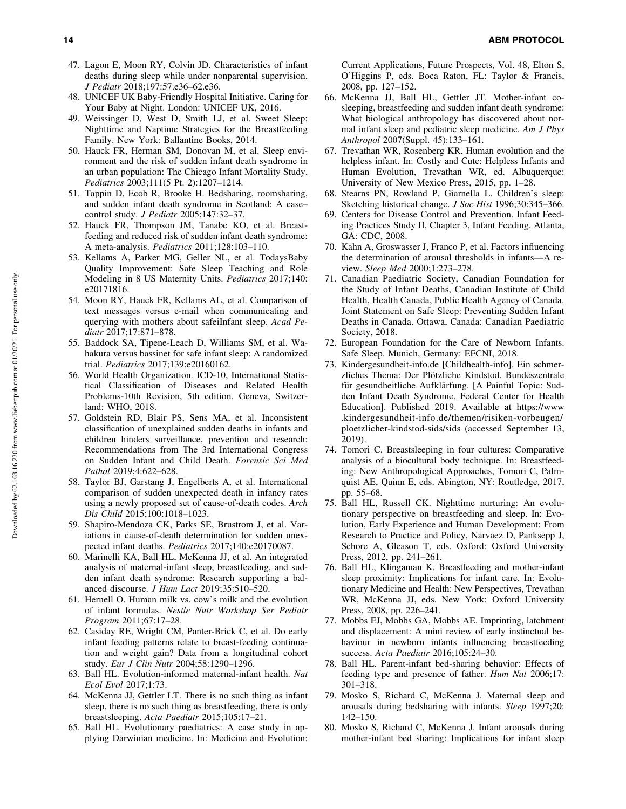- 47. Lagon E, Moon RY, Colvin JD. Characteristics of infant deaths during sleep while under nonparental supervision. *J Pediatr* 2018;197:57.e36–62.e36.
- 48. UNICEF UK Baby-Friendly Hospital Initiative. Caring for Your Baby at Night. London: UNICEF UK, 2016.
- 49. Weissinger D, West D, Smith LJ, et al. Sweet Sleep: Nighttime and Naptime Strategies for the Breastfeeding Family. New York: Ballantine Books, 2014.
- 50. Hauck FR, Herman SM, Donovan M, et al. Sleep environment and the risk of sudden infant death syndrome in an urban population: The Chicago Infant Mortality Study. *Pediatrics* 2003;111(5 Pt. 2):1207–1214.
- 51. Tappin D, Ecob R, Brooke H. Bedsharing, roomsharing, and sudden infant death syndrome in Scotland: A case– control study. *J Pediatr* 2005;147:32–37.
- 52. Hauck FR, Thompson JM, Tanabe KO, et al. Breastfeeding and reduced risk of sudden infant death syndrome: A meta-analysis. *Pediatrics* 2011;128:103–110.
- 53. Kellams A, Parker MG, Geller NL, et al. TodaysBaby Quality Improvement: Safe Sleep Teaching and Role Modeling in 8 US Maternity Units. *Pediatrics* 2017;140: e20171816.
- 54. Moon RY, Hauck FR, Kellams AL, et al. Comparison of text messages versus e-mail when communicating and querying with mothers about safeiInfant sleep. *Acad Pediatr* 2017;17:871–878.
- 55. Baddock SA, Tipene-Leach D, Williams SM, et al. Wahakura versus bassinet for safe infant sleep: A randomized trial. *Pediatrics* 2017;139:e20160162.
- 56. World Health Organization. ICD-10, International Statistical Classification of Diseases and Related Health Problems-10th Revision, 5th edition. Geneva, Switzerland: WHO, 2018.
- 57. Goldstein RD, Blair PS, Sens MA, et al. Inconsistent classification of unexplained sudden deaths in infants and children hinders surveillance, prevention and research: Recommendations from The 3rd International Congress on Sudden Infant and Child Death. *Forensic Sci Med Pathol* 2019;4:622–628.
- 58. Taylor BJ, Garstang J, Engelberts A, et al. International comparison of sudden unexpected death in infancy rates using a newly proposed set of cause-of-death codes. *Arch Dis Child* 2015;100:1018–1023.
- 59. Shapiro-Mendoza CK, Parks SE, Brustrom J, et al. Variations in cause-of-death determination for sudden unexpected infant deaths. *Pediatrics* 2017;140:e20170087.
- 60. Marinelli KA, Ball HL, McKenna JJ, et al. An integrated analysis of maternal-infant sleep, breastfeeding, and sudden infant death syndrome: Research supporting a balanced discourse. *J Hum Lact* 2019;35:510–520.
- 61. Hernell O. Human milk vs. cow's milk and the evolution of infant formulas. *Nestle Nutr Workshop Ser Pediatr Program* 2011;67:17–28.
- 62. Casiday RE, Wright CM, Panter-Brick C, et al. Do early infant feeding patterns relate to breast-feeding continuation and weight gain? Data from a longitudinal cohort study. *Eur J Clin Nutr* 2004;58:1290–1296.
- 63. Ball HL. Evolution-informed maternal-infant health. *Nat Ecol Evol* 2017;1:73.
- 64. McKenna JJ, Gettler LT. There is no such thing as infant sleep, there is no such thing as breastfeeding, there is only breastsleeping. *Acta Paediatr* 2015;105:17–21.
- 65. Ball HL. Evolutionary paediatrics: A case study in applying Darwinian medicine. In: Medicine and Evolution:

Current Applications, Future Prospects, Vol. 48, Elton S, O'Higgins P, eds. Boca Raton, FL: Taylor & Francis, 2008, pp. 127–152.

- 66. McKenna JJ, Ball HL, Gettler JT. Mother-infant cosleeping, breastfeeding and sudden infant death syndrome: What biological anthropology has discovered about normal infant sleep and pediatric sleep medicine. *Am J Phys Anthropol* 2007(Suppl. 45):133–161.
- 67. Trevathan WR, Rosenberg KR. Human evolution and the helpless infant. In: Costly and Cute: Helpless Infants and Human Evolution, Trevathan WR, ed. Albuquerque: University of New Mexico Press, 2015, pp. 1–28.
- 68. Stearns PN, Rowland P, Giarnella L. Children's sleep: Sketching historical change. *J Soc Hist* 1996;30:345–366.
- 69. Centers for Disease Control and Prevention. Infant Feeding Practices Study II, Chapter 3, Infant Feeding. Atlanta, GA: CDC, 2008.
- 70. Kahn A, Groswasser J, Franco P, et al. Factors influencing the determination of arousal thresholds in infants—A review. *Sleep Med* 2000;1:273–278.
- 71. Canadian Paediatric Society, Canadian Foundation for the Study of Infant Deaths, Canadian Institute of Child Health, Health Canada, Public Health Agency of Canada. Joint Statement on Safe Sleep: Preventing Sudden Infant Deaths in Canada. Ottawa, Canada: Canadian Paediatric Society, 2018.
- 72. European Foundation for the Care of Newborn Infants. Safe Sleep. Munich, Germany: EFCNI, 2018.
- 73. Kindergesundheit-info.de [Childhealth-info]. Ein schmerzliches Thema: Der Plötzliche Kindstod. Bundeszentrale für gesundheitliche Aufklärfung. [A Painful Topic: Sudden Infant Death Syndrome. Federal Center for Health Education]. Published 2019. Available at [https://www](https://www.kindergesundheit-info.de/themen/risiken-vorbeugen/ploetzlicher-kindstod-sids/sids) [.kindergesundheit-info.de/themen/risiken-vorbeugen/](https://www.kindergesundheit-info.de/themen/risiken-vorbeugen/ploetzlicher-kindstod-sids/sids) [ploetzlicher-kindstod-sids/sids](https://www.kindergesundheit-info.de/themen/risiken-vorbeugen/ploetzlicher-kindstod-sids/sids) (accessed September 13, 2019).
- 74. Tomori C. Breastsleeping in four cultures: Comparative analysis of a biocultural body technique. In: Breastfeeding: New Anthropological Approaches, Tomori C, Palmquist AE, Quinn E, eds. Abington, NY: Routledge, 2017, pp. 55–68.
- 75. Ball HL, Russell CK. Nighttime nurturing: An evolutionary perspective on breastfeeding and sleep. In: Evolution, Early Experience and Human Development: From Research to Practice and Policy, Narvaez D, Panksepp J, Schore A, Gleason T, eds. Oxford: Oxford University Press, 2012, pp. 241–261.
- 76. Ball HL, Klingaman K. Breastfeeding and mother-infant sleep proximity: Implications for infant care. In: Evolutionary Medicine and Health: New Perspectives, Trevathan WR, McKenna JJ, eds. New York: Oxford University Press, 2008, pp. 226–241.
- 77. Mobbs EJ, Mobbs GA, Mobbs AE. Imprinting, latchment and displacement: A mini review of early instinctual behaviour in newborn infants influencing breastfeeding success. *Acta Paediatr* 2016;105:24–30.
- 78. Ball HL. Parent-infant bed-sharing behavior: Effects of feeding type and presence of father. *Hum Nat* 2006;17: 301–318.
- 79. Mosko S, Richard C, McKenna J. Maternal sleep and arousals during bedsharing with infants. *Sleep* 1997;20: 142–150.
- 80. Mosko S, Richard C, McKenna J. Infant arousals during mother-infant bed sharing: Implications for infant sleep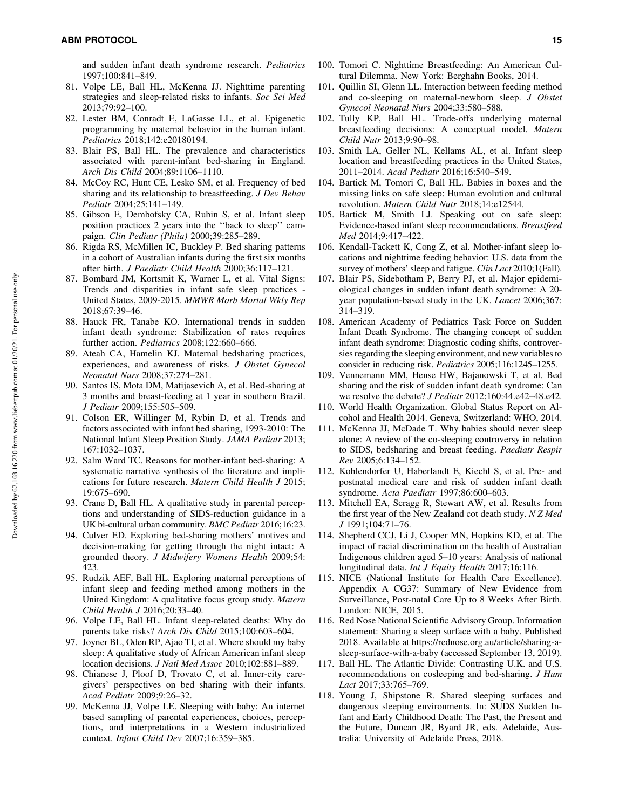and sudden infant death syndrome research. *Pediatrics* 1997;100:841–849.

- 81. Volpe LE, Ball HL, McKenna JJ. Nighttime parenting strategies and sleep-related risks to infants. *Soc Sci Med* 2013;79:92–100.
- 82. Lester BM, Conradt E, LaGasse LL, et al. Epigenetic programming by maternal behavior in the human infant. *Pediatrics* 2018;142:e20180194.
- 83. Blair PS, Ball HL. The prevalence and characteristics associated with parent-infant bed-sharing in England. *Arch Dis Child* 2004;89:1106–1110.
- 84. McCoy RC, Hunt CE, Lesko SM, et al. Frequency of bed sharing and its relationship to breastfeeding. *J Dev Behav Pediatr* 2004;25:141–149.
- 85. Gibson E, Dembofsky CA, Rubin S, et al. Infant sleep position practices 2 years into the ''back to sleep'' campaign. *Clin Pediatr (Phila)* 2000;39:285–289.
- 86. Rigda RS, McMillen IC, Buckley P. Bed sharing patterns in a cohort of Australian infants during the first six months after birth. *J Paediatr Child Health* 2000;36:117–121.
- 87. Bombard JM, Kortsmit K, Warner L, et al. Vital Signs: Trends and disparities in infant safe sleep practices - United States, 2009-2015. *MMWR Morb Mortal Wkly Rep* 2018;67:39–46.
- 88. Hauck FR, Tanabe KO. International trends in sudden infant death syndrome: Stabilization of rates requires further action. *Pediatrics* 2008;122:660–666.
- 89. Ateah CA, Hamelin KJ. Maternal bedsharing practices, experiences, and awareness of risks. *J Obstet Gynecol Neonatal Nurs* 2008;37:274–281.
- 90. Santos IS, Mota DM, Matijasevich A, et al. Bed-sharing at 3 months and breast-feeding at 1 year in southern Brazil. *J Pediatr* 2009;155:505–509.
- 91. Colson ER, Willinger M, Rybin D, et al. Trends and factors associated with infant bed sharing, 1993-2010: The National Infant Sleep Position Study. *JAMA Pediatr* 2013; 167:1032–1037.
- 92. Salm Ward TC. Reasons for mother-infant bed-sharing: A systematic narrative synthesis of the literature and implications for future research. *Matern Child Health J* 2015; 19:675–690.
- 93. Crane D, Ball HL. A qualitative study in parental perceptions and understanding of SIDS-reduction guidance in a UK bi-cultural urban community. *BMC Pediatr* 2016;16:23.
- 94. Culver ED. Exploring bed-sharing mothers' motives and decision-making for getting through the night intact: A grounded theory. *J Midwifery Womens Health* 2009;54: 423.
- 95. Rudzik AEF, Ball HL. Exploring maternal perceptions of infant sleep and feeding method among mothers in the United Kingdom: A qualitative focus group study. *Matern Child Health J* 2016;20:33–40.
- 96. Volpe LE, Ball HL. Infant sleep-related deaths: Why do parents take risks? *Arch Dis Child* 2015;100:603–604.
- 97. Joyner BL, Oden RP, Ajao TI, et al. Where should my baby sleep: A qualitative study of African American infant sleep location decisions. *J Natl Med Assoc* 2010;102:881–889.
- 98. Chianese J, Ploof D, Trovato C, et al. Inner-city caregivers' perspectives on bed sharing with their infants. *Acad Pediatr* 2009;9:26–32.
- 99. McKenna JJ, Volpe LE. Sleeping with baby: An internet based sampling of parental experiences, choices, perceptions, and interpretations in a Western industrialized context. *Infant Child Dev* 2007;16:359–385.
- 100. Tomori C. Nighttime Breastfeeding: An American Cultural Dilemma. New York: Berghahn Books, 2014.
- 101. Quillin SI, Glenn LL. Interaction between feeding method and co-sleeping on maternal-newborn sleep. *J Obstet Gynecol Neonatal Nurs* 2004;33:580–588.
- 102. Tully KP, Ball HL. Trade-offs underlying maternal breastfeeding decisions: A conceptual model. *Matern Child Nutr* 2013;9:90–98.
- 103. Smith LA, Geller NL, Kellams AL, et al. Infant sleep location and breastfeeding practices in the United States, 2011–2014. *Acad Pediatr* 2016;16:540–549.
- 104. Bartick M, Tomori C, Ball HL. Babies in boxes and the missing links on safe sleep: Human evolution and cultural revolution. *Matern Child Nutr* 2018;14:e12544.
- 105. Bartick M, Smith LJ. Speaking out on safe sleep: Evidence-based infant sleep recommendations. *Breastfeed Med* 2014;9:417–422.
- 106. Kendall-Tackett K, Cong Z, et al. Mother-infant sleep locations and nighttime feeding behavior: U.S. data from the survey of mothers' sleep and fatigue. *Clin Lact* 2010;1(Fall).
- 107. Blair PS, Sidebotham P, Berry PJ, et al. Major epidemiological changes in sudden infant death syndrome: A 20 year population-based study in the UK. *Lancet* 2006;367: 314–319.
- 108. American Academy of Pediatrics Task Force on Sudden Infant Death Syndrome. The changing concept of sudden infant death syndrome: Diagnostic coding shifts, controversies regarding the sleeping environment, and new variables to consider in reducing risk. *Pediatrics* 2005;116:1245–1255.
- 109. Vennemann MM, Hense HW, Bajanowski T, et al. Bed sharing and the risk of sudden infant death syndrome: Can we resolve the debate? *J Pediatr* 2012;160:44.e42–48.e42.
- 110. World Health Organization. Global Status Report on Alcohol and Health 2014. Geneva, Switzerland: WHO, 2014.
- 111. McKenna JJ, McDade T. Why babies should never sleep alone: A review of the co-sleeping controversy in relation to SIDS, bedsharing and breast feeding. *Paediatr Respir Rev* 2005;6:134–152.
- 112. Kohlendorfer U, Haberlandt E, Kiechl S, et al. Pre- and postnatal medical care and risk of sudden infant death syndrome. *Acta Paediatr* 1997;86:600–603.
- 113. Mitchell EA, Scragg R, Stewart AW, et al. Results from the first year of the New Zealand cot death study. *N Z Med J* 1991;104:71–76.
- 114. Shepherd CCJ, Li J, Cooper MN, Hopkins KD, et al. The impact of racial discrimination on the health of Australian Indigenous children aged 5–10 years: Analysis of national longitudinal data. *Int J Equity Health* 2017;16:116.
- 115. NICE (National Institute for Health Care Excellence). Appendix A CG37: Summary of New Evidence from Surveillance, Post-natal Care Up to 8 Weeks After Birth. London: NICE, 2015.
- 116. Red Nose National Scientific Advisory Group. Information statement: Sharing a sleep surface with a baby. Published 2018. Available at [https://rednose.org.au/article/sharing-a](https://rednose.org.au/article/sharing-a-sleep-surface-with-a-baby)[sleep-surface-with-a-baby](https://rednose.org.au/article/sharing-a-sleep-surface-with-a-baby) (accessed September 13, 2019).
- 117. Ball HL. The Atlantic Divide: Contrasting U.K. and U.S. recommendations on cosleeping and bed-sharing. *J Hum Lact* 2017;33:765–769.
- 118. Young J, Shipstone R. Shared sleeping surfaces and dangerous sleeping environments. In: SUDS Sudden Infant and Early Childhood Death: The Past, the Present and the Future, Duncan JR, Byard JR, eds. Adelaide, Australia: University of Adelaide Press, 2018.